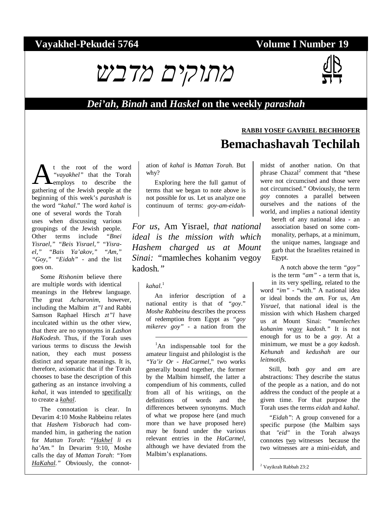#### **Vayakhel-Pekudei 5764 Volume I Number 19**

**RABBI YOSEF GAVRIEL BECHHOFER**



#### *Dei'ah***,** *Binah* **and** *Haskel* **on the weekly** *parashah*

# **Bemachashavah Techilah**

t the root of the word *"vayakhel"* that the Torah employs to describe the **A**<sup>t</sup> the root of the word<br>
"vayakhel" that the Torah<br>
gathering of the Jewish people at the beginning of this week's *parashah* is the word *"kahal*." The word *kahal* is one of several words the Torah uses when discussing various groupings of the Jewish people. Other terms include *"Bnei Yisrael," "Beis Yisrael," "Yisrael," "Bais Ya'akov," "Am," "Goy," "Eidah"* - and the list goes on.

Some *Rishonim* believe there are multiple words with identical meanings in the Hebrew language. The great *Acharonim*, however, including the Malbim *zt"l* and Rabbi Samson Raphael Hirsch *zt"l* have inculcated within us the other view, that there are no synonyms in *Lashon HaKodesh*. Thus, if the Torah uses various terms to discuss the Jewish nation, they each must possess distinct and separate meanings. It is, therefore, axiomatic that if the Torah chooses to base the description of this gathering as an instance involving a *kahal*, it was intended to specifically to create a *kahal*.

The connotation is clear. In Devarim 4:10 Moshe Rabbeinu relates that *Hashem Yisborach* had commanded him, in gathering the nation for *Mattan Torah*: *"Hakhel li es ha'Am."* In Devarim 9:10, Moshe calls the day of *Mattan Torah*: *"Yom HaKahal."* Obviously, the connotation of *kahal* is *Mattan Torah*. But why?

Exploring here the full gamut of terms that we began to note above is not possible for us. Let us analyze one continuum of terms: *goy-am-eidah-*

*For us,* Am Yisrael*, that national ideal is the mission with which Hashem charged us at Mount Sinai: "*mamleches kohanim vegoy kadosh*."* 

#### *kahal*. 1

 $\overline{a}$ 

An inferior description of a national entity is that of *"goy*." *Moshe Rabbeinu* describes the process of redemption from Egypt as *"goy mikerev goy"* - a nation from the

<sup>1</sup>An indispensable tool for the amateur linguist and philologist is the *"Ya'ir Or - HaCarmel*," two works generally bound together, the former by the Malbim himself, the latter a compendium of his comments, culled from all of his writings, on the definitions of words and the differences between synonyms. Much of what we propose here (and much more than we have proposed here) may be found under the various relevant entries in the *HaCarmel*, although we have deviated from the Malbim's explanations.

midst of another nation. On that phrase Chazal<sup>2</sup> comment that "these were not circumcised and those were not circumcised." Obviously, the term *goy* connotes a parallel between ourselves and the nations of the world, and implies a national identity

bereft of any national idea - an association based on some commonality, perhaps, at a minimum, the unique names, language and garb that the Israelites retained in Egypt.

A notch above the term *"goy"* is the term *"am"* - a term that is, in its very spelling, related to the word *"im"* - "with." A national idea or ideal bonds the *am.* For us, *Am Yisrael*, that national ideal is the mission with which Hashem charged us at Mount Sinai: *"mamleches kohanim vegoy kadosh."* It is not enough for us to be a *goy*. At a minimum, we must be a *goy kadosh*. *Kehunah* and *kedushah* are our *leitmotifs*.

Still, both *goy* and *am* are abstractions: They describe the status of the people as a nation, and do not address the conduct of the people at a given time. For that purpose the Torah uses the terms *eidah* and *kahal*.

*"Eidah"*: A group convened for a specific purpose (the Malbim says that *"eid"* in the Torah always connotes two witnesses because the two witnesses are a mini-*eidah*, and

2 Vayikrah Rabbah 23:2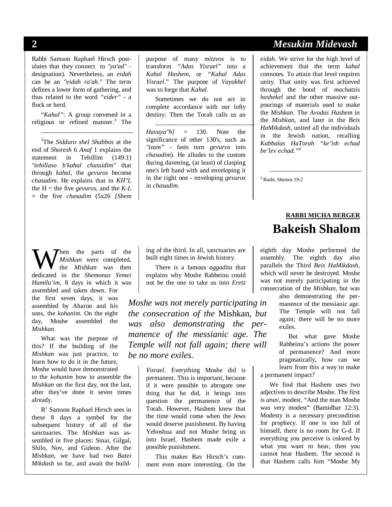-

Rabbi Samson Raphael Hirsch postulates that they connect to *"ya'ad"* designation). Nevertheless, an *eidah* can be an *"eidah ra'ah."* The term defines a lower form of gathering, and thus related to the word *"eider"* - a flock or herd.

*"Kahal"*: A group convened in a religious or refined manner.<sup>3</sup> The

3 The *Sidduro shel Shabbos* at the end of *Shoresh* 6 *Anaf* 1 explains the statement in Tehillim (149:1) *"tehillaso b'kahal chassidim"* that through *kahal*, the *gevuros* become *chasadim*. He explains that in *KH"L* the  $H =$  the five *gevuros*, and the  $K-L$ = the five *chasadim* (5x26 *[Shem*  purpose of many *mitzvos* is to transform *"Adas Yisrael"* into a *Kahal Hashem*, or *"Kahal Adas Yisrael*." The purpose of *Vayakhel* was to forge that *Kahal*.

Sometimes we do not act in complete accordance with our lofty destiny: Then the Torah calls us an

 $\overline{a}$ 

*Havaya"h]* = 130. Note the significance of other 130's, such as *"tzam"* - fasts turn *gevuros* into *chasadim*). He alludes to the custom during davening, (at least) of clasping one's left hand with and enveloping it in the right one - enveloping *gevuros* in *chasadim*.

#### **2** *Mesukim Midevash*

*eidah*. We strive for the high level of achievement that the term *kahal*  connotes. To attain that level requires unity. That unity was first achieved through the bond of *machatzis hashekel* and the other massive outpourings of materials used to make the *Mishkan*. The *Avodas Hashem* in the *Mishkan*, and later in the *Beis HaMikdash*, united all the individuals in the Jewish nation, recalling *Kabbalas HaTorah "ke'ish echad be'lev echad."4*

4 Rashi, Shemos 19:2

hen the parts of the *Mishkan* were completed, the *Mishkan* was then **definition** the parts of the *Mishkan* were completed, the *Mishkan* was then dedicated in the *Shemonas Yemei Hamilu'im*, 8 days in which it was assembled and taken down. For the first seven days, it was assembled by Aharon and his sons, the *kohanim*. On the eight day, Moshe assembled the *Mishkan*.

What was the purpose of this? If the building of the *Mishkan* was just practice, to learn how to do it in the future, Moshe would have demonstrated to the *kohanim* how to assemble the *Mishkan* on the first day, not the last, after they've done it seven times already.

R' Samson Raphael Hirsch sees in these 8 days a symbol for the subsequent history of all of the sanctuaries. The *Mishkan* was assembled in five places: Sinai, Gilgal, Shilo, Nov, and Gideon. After the *Mishkan*, we have had two *Batei Mikdash* so far, and await the build-

ing of the third. In all, sanctuaries are built eight times in Jewish history.

There is a famous *aggadita* that explains why Moshe Rabbeinu could not be the one to take us into *Eretz* 

*Moshe was not merely participating in the consecration of the* Mishkan*, but was also demonstrating the permanence of the messianic age. The Temple will not fall again; there will be no more exiles.* 

> *Yisrael*. Everything Moshe did is permanent. This is important, because if it were possible to abrogate one thing that he did, it brings into question the permanence of the Torah. However, Hashem knew that the time would come when the Jews would deserve punishment. By having Yehoshua and not Moshe bring us into Israel, Hashem made exile a possible punishment.

This makes Rav Hirsch's comment even more interesting. On the

### **RABBI MICHA BERGER Bakeish Shalom**

eighth day Moshe performed the assembly. The eighth day also parallels the Third *Beis HaMikdash*, which will never be destroyed. Moshe was not merely participating in the consecration of the *Mishkan*, but was

> also demonstrating the permanence of the messianic age. The Temple will not fall again; there will be no more exiles.

But what gave Moshe Rabbeinu's actions the power of permanence? And more pragmatically, how can we learn from this a way to make a permanent impact?

We find that Hashem uses two adjectives to describe Moshe. The first is *anav*, modest. "And the man Moshe was very modest" (Bamidbar 12:3). Modesty is a necessary precondition for prophecy. If one is too full of himself, there is no room for G-d. If everything you perceive is colored by what you want to hear, then you cannot hear Hashem. The second is that Hashem calls him "Moshe My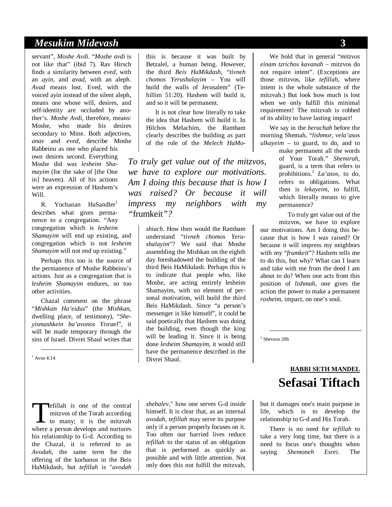#### *Mesukim Midevash* **3**

servant", *Moshe Avdi*. "*Moshe avdi* is not like that" (ibid 7). Rav Hirsch finds a similarity between *eved*, with an *ayin*, and *avad*, with an aleph. *Avad* means lost. Eved, with the voiced ayin instead of the silent aleph, means one whose will, desires, and self-identity are occluded by another's. *Moshe Avdi*, therefore, means: Moshe, who made his desires secondary to Mine. Both adjectives, *anav* and *eved*, describe Moshe Rabbeinu as one who placed his own desires second. Everything Moshe did was *lesheim Shamayim* (for the sake of [the One in] heaven). All of his actions were an expression of Hashem's Will.

R. Yochanan HaSandler<sup>1</sup> describes what gives permanence to a congregation. "Any congregation which is *lesheim Shamayim* will end up existing, and congregation which is not *lesheim Shamayim* will not end up existing."

Perhaps this too is the source of the permanence of Moshe Rabbeinu's actions. Just as a congregation that is *lesheim Shamayim* endures, so too other activities.

Chazal comment on the phrase "*Mishkan Ha'eidus*" (the *Mishkan*, dwelling place, of testimony), "*Sheyismashkein ba'avonos Yisrael*", it will be made temporary through the sins of Israel. Divrei Shaul writes that

1 Avos 4:14

efillah is one of the central mitzvos of the Torah according **T**<br>
efillah is one of the central<br>
mitzvos of the Torah according<br>
to many; it is the mitzvah<br>
where a person develops and purtures where a person develops and nurtures his relationship to G-d. According to the Chazal, it is referred to as *Avodah*, the same term for the offering of the korbanos in the Beis HaMikdash, but *tefillah* is "*avodah* 

this is because it was built by Betzalel, a human being. However, the third *Beis HaMikdash*, "*tivneh chomos Yerushalayim* – You will build the walls of Jerusalem" (Tehillim 51:20). Hashem will build it, and so it will be permanent.

It is not clear how literally to take the idea that Hashem will build it. In Hilchos Melachim, the Rambam clearly describes the building as part of the role of the *Melech HaMo-*

*To truly get value out of the mitzvos, we have to explore our motivations. Am I doing this because that is how I was raised? Or because it will impress my neighbors with my "*frumkeit*"?* 

> *shiach*. How then would the Rambam understand "*tivneh chomos Yerushalayim*"? We said that Moshe assembling the Mishkan on the eighth day foreshadowed the building of the third Beis HaMikdash. Perhaps this is to indicate that people who, like Moshe, are acting entirely lesheim Shamayim, with no element of personal motivation, will build the third Beis HaMikdash. Since "a person's messenger is like himself", it could be said poetically that Hashem was doing the building, even though the king will be leading it. Since it is being done *lesheim Shamayim*, it would still have the permanence described in the Divrei Shaul.

> *shebalev*," how one serves G-d inside himself. It is clear that, as an internal *avodah*, *tefillah* may serve its purpose only if a person properly focuses on it. Too often our harried lives reduce *tefillah* to the status of an obligation that is performed as quickly as possible and with little attention. Not only does this not fulfill the mitzvah,

We hold that in general "*mitzvos einam tzrichos kavanah* – mitzvos do not require intent". (Exceptions are those mitzvos, like *tefillah*, where intent is the whole substance of the mitzvah.) But look how much is lost when we only fulfill this minimal requirement! The mitzvah is robbed of its ability to have lasting impact!

We say in the *berachah* before the morning Shemah, "*lishmor, vela'asos ulkayeim* – to guard, to do, and to

> make permanent all the words of Your Torah." *Shemirah*, guard, is a term that refers to prohibitions.<sup>2</sup> *La'asos*, to do, refers to obligations. What then is *lekayeim*, to fulfill, which literally means to give permanence?

To truly get value out of the mitzvos, we have to explore our motivations. Am I doing this because that is how I was raised? Or because it will impress my neighbors with my "*frumkeit*"? Hashem tells me to do this, but why? What can I learn and take with me from the deed I am about to do? When one acts from this position of *lishmah*, one gives the action the power to make a permanent *rosheim*, impact, on one's soul.

2 Shevuos 20b

#### **RABBI SETH MANDEL Sefasai Tiftach**

but it damages one's main purpose in life, which is to develop the relationship to G-d and His Torah.

There is no need for *tefillah* to take a very long time, but there is a need to focus one's thoughts when saying *Shemoneh Esrei*. The